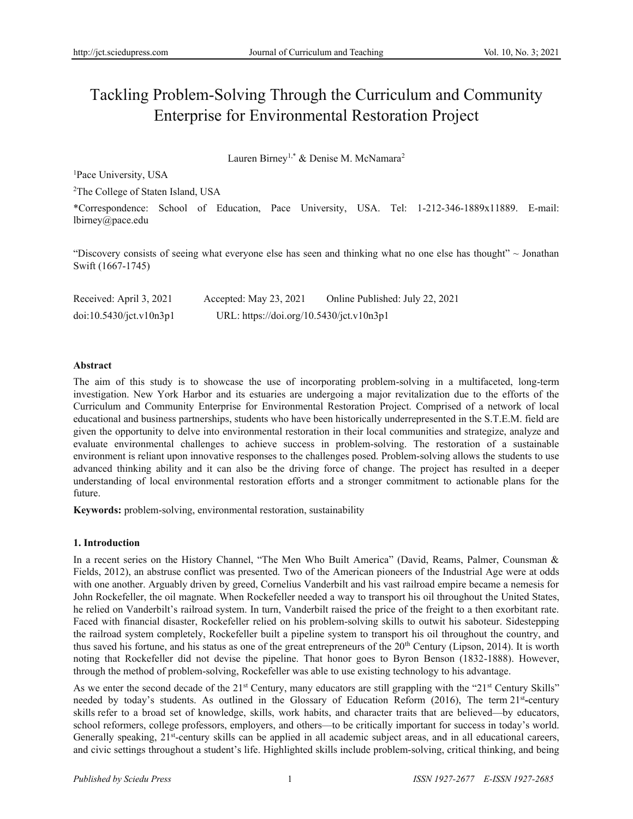# Tackling Problem-Solving Through the Curriculum and Community Enterprise for Environmental Restoration Project

Lauren Birney<sup>1,\*</sup> & Denise M. McNamara<sup>2</sup>

<sup>1</sup>Pace University, USA

<sup>2</sup>The College of Staten Island, USA

\*Correspondence: School of Education, Pace University, USA. Tel: 1-212-346-1889x11889. E-mail: lbirney@pace.edu

"Discovery consists of seeing what everyone else has seen and thinking what no one else has thought" ~ Jonathan Swift (1667-1745)

Received: April 3, 2021 Accepted: May 23, 2021 Online Published: July 22, 2021 doi:10.5430/jct.v10n3p1 URL: https://doi.org/10.5430/jct.v10n3p1

## **Abstract**

The aim of this study is to showcase the use of incorporating problem-solving in a multifaceted, long-term investigation. New York Harbor and its estuaries are undergoing a major revitalization due to the efforts of the Curriculum and Community Enterprise for Environmental Restoration Project. Comprised of a network of local educational and business partnerships, students who have been historically underrepresented in the S.T.E.M. field are given the opportunity to delve into environmental restoration in their local communities and strategize, analyze and evaluate environmental challenges to achieve success in problem-solving. The restoration of a sustainable environment is reliant upon innovative responses to the challenges posed. Problem-solving allows the students to use advanced thinking ability and it can also be the driving force of change. The project has resulted in a deeper understanding of local environmental restoration efforts and a stronger commitment to actionable plans for the future.

**Keywords:** problem-solving, environmental restoration, sustainability

## **1. Introduction**

In a recent series on the History Channel, "The Men Who Built America" (David, Reams, Palmer, Counsman & Fields, 2012), an abstruse conflict was presented. Two of the American pioneers of the Industrial Age were at odds with one another. Arguably driven by greed, Cornelius Vanderbilt and his vast railroad empire became a nemesis for John Rockefeller, the oil magnate. When Rockefeller needed a way to transport his oil throughout the United States, he relied on Vanderbilt's railroad system. In turn, Vanderbilt raised the price of the freight to a then exorbitant rate. Faced with financial disaster, Rockefeller relied on his problem-solving skills to outwit his saboteur. Sidestepping the railroad system completely, Rockefeller built a pipeline system to transport his oil throughout the country, and thus saved his fortune, and his status as one of the great entrepreneurs of the  $20<sup>th</sup>$  Century (Lipson, 2014). It is worth noting that Rockefeller did not devise the pipeline. That honor goes to Byron Benson (1832-1888). However, through the method of problem-solving, Rockefeller was able to use existing technology to his advantage.

As we enter the second decade of the  $21<sup>st</sup>$  Century, many educators are still grappling with the " $21<sup>st</sup>$  Century Skills" needed by today's students. As outlined in the Glossary of Education Reform (2016), The term 21st **-**century skills refer to a broad set of knowledge, skills, work habits, and character traits that are believed—by educators, school reformers, college professors, employers, and others—to be critically important for success in today's world. Generally speaking, 21<sup>st</sup>-century skills can be applied in all academic subject areas, and in all educational careers, and civic settings throughout a student's life. Highlighted skills include problem-solving, critical thinking, and being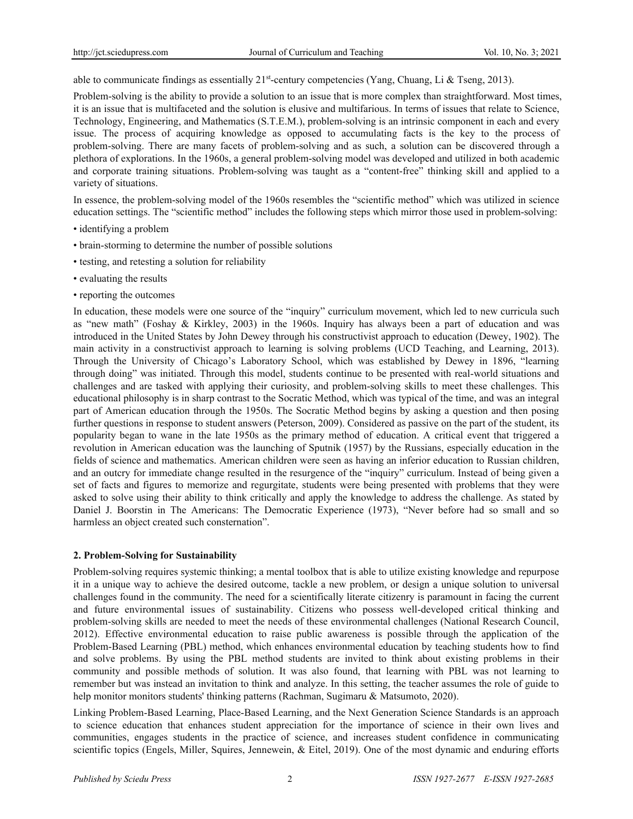able to communicate findings as essentially 21<sup>st</sup>-century competencies (Yang, Chuang, Li & Tseng, 2013).

Problem-solving is the ability to provide a solution to an issue that is more complex than straightforward. Most times, it is an issue that is multifaceted and the solution is elusive and multifarious. In terms of issues that relate to Science, Technology, Engineering, and Mathematics (S.T.E.M.), problem-solving is an intrinsic component in each and every issue. The process of acquiring knowledge as opposed to accumulating facts is the key to the process of problem-solving. There are many facets of problem-solving and as such, a solution can be discovered through a plethora of explorations. In the 1960s, a general problem-solving model was developed and utilized in both academic and corporate training situations. Problem-solving was taught as a "content-free" thinking skill and applied to a variety of situations.

In essence, the problem-solving model of the 1960s resembles the "scientific method" which was utilized in science education settings. The "scientific method" includes the following steps which mirror those used in problem-solving:

- identifying a problem
- brain-storming to determine the number of possible solutions
- testing, and retesting a solution for reliability
- evaluating the results
- reporting the outcomes

In education, these models were one source of the "inquiry" curriculum movement, which led to new curricula such as "new math" (Foshay & Kirkley, 2003) in the 1960s. Inquiry has always been a part of education and was introduced in the United States by John Dewey through his constructivist approach to education (Dewey, 1902). The main activity in a constructivist approach to learning is solving problems (UCD Teaching, and Learning, 2013). Through the University of Chicago's Laboratory School, which was established by Dewey in 1896, "learning through doing" was initiated. Through this model, students continue to be presented with real-world situations and challenges and are tasked with applying their curiosity, and problem-solving skills to meet these challenges. This educational philosophy is in sharp contrast to the Socratic Method, which was typical of the time, and was an integral part of American education through the 1950s. The Socratic Method begins by asking a question and then posing further questions in response to student answers (Peterson, 2009). Considered as passive on the part of the student, its popularity began to wane in the late 1950s as the primary method of education. A critical event that triggered a revolution in American education was the launching of Sputnik (1957) by the Russians, especially education in the fields of science and mathematics. American children were seen as having an inferior education to Russian children, and an outcry for immediate change resulted in the resurgence of the "inquiry" curriculum. Instead of being given a set of facts and figures to memorize and regurgitate, students were being presented with problems that they were asked to solve using their ability to think critically and apply the knowledge to address the challenge. As stated by Daniel J. Boorstin in The Americans: The Democratic Experience (1973), "Never before had so small and so harmless an object created such consternation".

## **2. Problem-Solving for Sustainability**

Problem-solving requires systemic thinking; a mental toolbox that is able to utilize existing knowledge and repurpose it in a unique way to achieve the desired outcome, tackle a new problem, or design a unique solution to universal challenges found in the community. The need for a scientifically literate citizenry is paramount in facing the current and future environmental issues of sustainability. Citizens who possess well-developed critical thinking and problem-solving skills are needed to meet the needs of these environmental challenges (National Research Council, 2012). Effective environmental education to raise public awareness is possible through the application of the Problem-Based Learning (PBL) method, which enhances environmental education by teaching students how to find and solve problems. By using the PBL method students are invited to think about existing problems in their community and possible methods of solution. It was also found, that learning with PBL was not learning to remember but was instead an invitation to think and analyze. In this setting, the teacher assumes the role of guide to help monitor monitors students' thinking patterns (Rachman, Sugimaru & Matsumoto, 2020).

Linking Problem-Based Learning, Place-Based Learning, and the Next Generation Science Standards is an approach to science education that enhances student appreciation for the importance of science in their own lives and communities, engages students in the practice of science, and increases student confidence in communicating scientific topics (Engels, Miller, Squires, Jennewein, & Eitel, 2019). One of the most dynamic and enduring efforts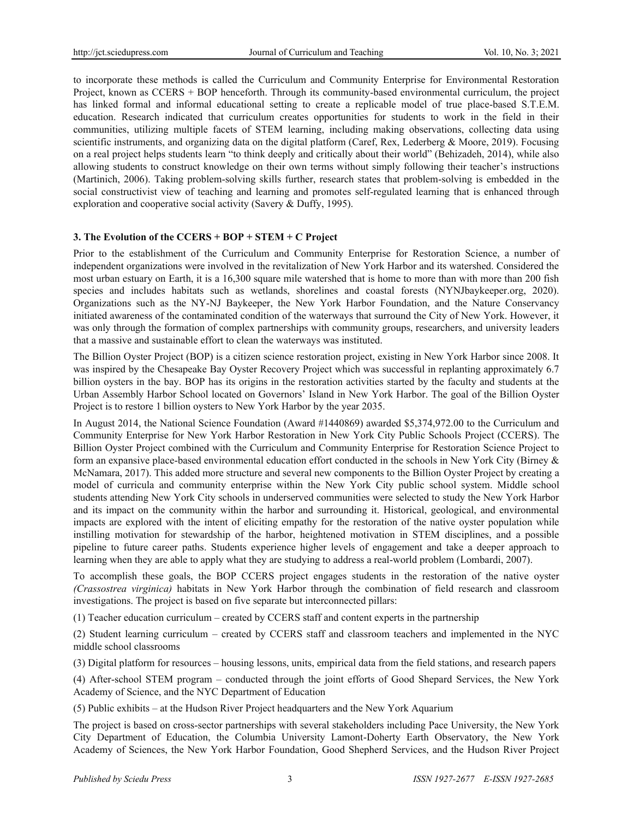to incorporate these methods is called the Curriculum and Community Enterprise for Environmental Restoration Project, known as CCERS + BOP henceforth. Through its community-based environmental curriculum, the project has linked formal and informal educational setting to create a replicable model of true place-based S.T.E.M. education. Research indicated that curriculum creates opportunities for students to work in the field in their communities, utilizing multiple facets of STEM learning, including making observations, collecting data using scientific instruments, and organizing data on the digital platform (Caref, Rex, Lederberg & Moore, 2019). Focusing on a real project helps students learn "to think deeply and critically about their world" (Behizadeh, 2014), while also allowing students to construct knowledge on their own terms without simply following their teacher's instructions (Martinich, 2006). Taking problem-solving skills further, research states that problem-solving is embedded in the social constructivist view of teaching and learning and promotes self-regulated learning that is enhanced through exploration and cooperative social activity (Savery & Duffy, 1995).

## **3. The Evolution of the CCERS + BOP + STEM + C Project**

Prior to the establishment of the Curriculum and Community Enterprise for Restoration Science, a number of independent organizations were involved in the revitalization of New York Harbor and its watershed. Considered the most urban estuary on Earth, it is a 16,300 square mile watershed that is home to more than with more than 200 fish species and includes habitats such as wetlands, shorelines and coastal forests (NYNJbaykeeper.org, 2020). Organizations such as the NY-NJ Baykeeper, the New York Harbor Foundation, and the Nature Conservancy initiated awareness of the contaminated condition of the waterways that surround the City of New York. However, it was only through the formation of complex partnerships with community groups, researchers, and university leaders that a massive and sustainable effort to clean the waterways was instituted.

The Billion Oyster Project (BOP) is a citizen science restoration project, existing in New York Harbor since 2008. It was inspired by the Chesapeake Bay Oyster Recovery Project which was successful in replanting approximately 6.7 billion oysters in the bay. BOP has its origins in the restoration activities started by the faculty and students at the Urban Assembly Harbor School located on Governors' Island in New York Harbor. The goal of the Billion Oyster Project is to restore 1 billion oysters to New York Harbor by the year 2035.

In August 2014, the National Science Foundation (Award #1440869) awarded \$5,374,972.00 to the Curriculum and Community Enterprise for New York Harbor Restoration in New York City Public Schools Project (CCERS). The Billion Oyster Project combined with the Curriculum and Community Enterprise for Restoration Science Project to form an expansive place-based environmental education effort conducted in the schools in New York City (Birney & McNamara, 2017). This added more structure and several new components to the Billion Oyster Project by creating a model of curricula and community enterprise within the New York City public school system. Middle school students attending New York City schools in underserved communities were selected to study the New York Harbor and its impact on the community within the harbor and surrounding it. Historical, geological, and environmental impacts are explored with the intent of eliciting empathy for the restoration of the native oyster population while instilling motivation for stewardship of the harbor, heightened motivation in STEM disciplines, and a possible pipeline to future career paths. Students experience higher levels of engagement and take a deeper approach to learning when they are able to apply what they are studying to address a real-world problem (Lombardi, 2007).

To accomplish these goals, the BOP CCERS project engages students in the restoration of the native oyster *(Crassostrea virginica)* habitats in New York Harbor through the combination of field research and classroom investigations. The project is based on five separate but interconnected pillars:

(1) Teacher education curriculum – created by CCERS staff and content experts in the partnership

(2) Student learning curriculum – created by CCERS staff and classroom teachers and implemented in the NYC middle school classrooms

(3) Digital platform for resources – housing lessons, units, empirical data from the field stations, and research papers

(4) After-school STEM program – conducted through the joint efforts of Good Shepard Services, the New York Academy of Science, and the NYC Department of Education

(5) Public exhibits – at the Hudson River Project headquarters and the New York Aquarium

The project is based on cross-sector partnerships with several stakeholders including Pace University, the New York City Department of Education, the Columbia University Lamont-Doherty Earth Observatory, the New York Academy of Sciences, the New York Harbor Foundation, Good Shepherd Services, and the Hudson River Project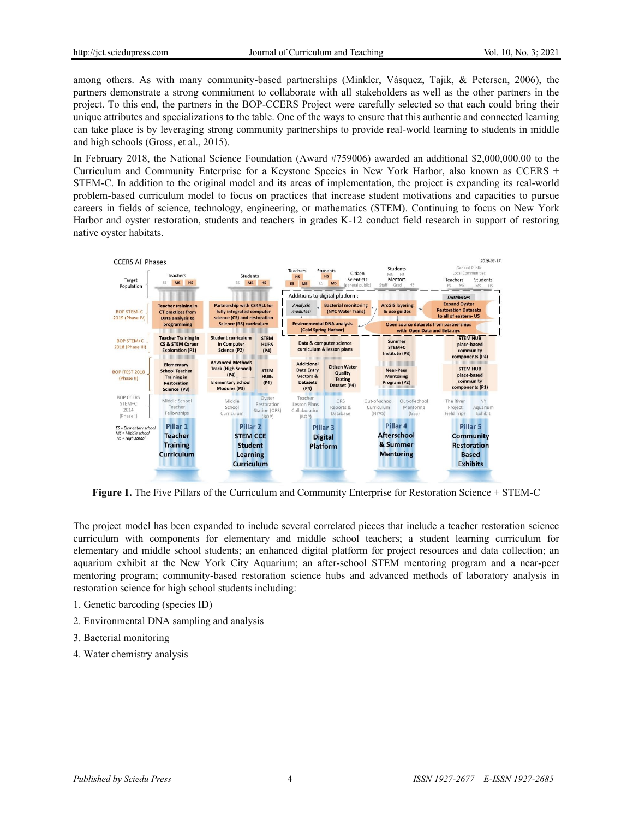among others. As with many community-based partnerships (Minkler, Vásquez, Tajik, & Petersen, 2006), the partners demonstrate a strong commitment to collaborate with all stakeholders as well as the other partners in the project. To this end, the partners in the BOP-CCERS Project were carefully selected so that each could bring their unique attributes and specializations to the table. One of the ways to ensure that this authentic and connected learning can take place is by leveraging strong community partnerships to provide real-world learning to students in middle and high schools (Gross, et al., 2015).

In February 2018, the National Science Foundation (Award #759006) awarded an additional \$2,000,000.00 to the Curriculum and Community Enterprise for a Keystone Species in New York Harbor, also known as CCERS + STEM-C. In addition to the original model and its areas of implementation, the project is expanding its real-world problem-based curriculum model to focus on practices that increase student motivations and capacities to pursue careers in fields of science, technology, engineering, or mathematics (STEM). Continuing to focus on New York Harbor and oyster restoration, students and teachers in grades K-12 conduct field research in support of restoring native oyster habitats.



**Figure 1.** The Five Pillars of the Curriculum and Community Enterprise for Restoration Science + STEM-C

The project model has been expanded to include several correlated pieces that include a teacher restoration science curriculum with components for elementary and middle school teachers; a student learning curriculum for elementary and middle school students; an enhanced digital platform for project resources and data collection; an aquarium exhibit at the New York City Aquarium; an after-school STEM mentoring program and a near-peer mentoring program; community-based restoration science hubs and advanced methods of laboratory analysis in restoration science for high school students including:

- 1. Genetic barcoding (species ID)
- 2. Environmental DNA sampling and analysis
- 3. Bacterial monitoring
- 4. Water chemistry analysis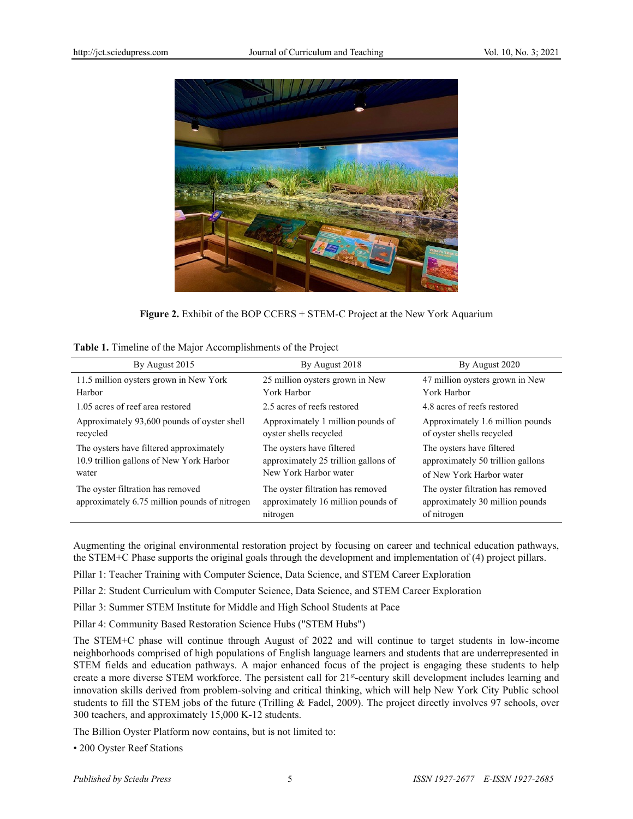

**Figure 2.** Exhibit of the BOP CCERS + STEM-C Project at the New York Aquarium

|  | Table 1. Timeline of the Major Accomplishments of the Project |
|--|---------------------------------------------------------------|
|--|---------------------------------------------------------------|

| By August 2015                                                                               | By August 2018                                                                             | By August 2020                                                                             |
|----------------------------------------------------------------------------------------------|--------------------------------------------------------------------------------------------|--------------------------------------------------------------------------------------------|
|                                                                                              |                                                                                            |                                                                                            |
| 11.5 million oysters grown in New York                                                       | 25 million oysters grown in New                                                            | 47 million oysters grown in New                                                            |
| Harbor                                                                                       | York Harbor                                                                                | York Harbor                                                                                |
| 1.05 acres of reef area restored                                                             | 2.5 acres of reefs restored                                                                | 4.8 acres of reefs restored                                                                |
| Approximately 93,600 pounds of oyster shell<br>recycled                                      | Approximately 1 million pounds of<br>oyster shells recycled                                | Approximately 1.6 million pounds<br>of oyster shells recycled                              |
| The oysters have filtered approximately<br>10.9 trillion gallons of New York Harbor<br>water | The oysters have filtered<br>approximately 25 trillion gallons of<br>New York Harbor water | The oysters have filtered<br>approximately 50 trillion gallons<br>of New York Harbor water |
| The oyster filtration has removed<br>approximately 6.75 million pounds of nitrogen           | The oyster filtration has removed<br>approximately 16 million pounds of<br>nitrogen        | The oyster filtration has removed<br>approximately 30 million pounds<br>of nitrogen        |

Augmenting the original environmental restoration project by focusing on career and technical education pathways, the STEM+C Phase supports the original goals through the development and implementation of (4) project pillars.

Pillar 1: Teacher Training with Computer Science, Data Science, and STEM Career Exploration

Pillar 2: Student Curriculum with Computer Science, Data Science, and STEM Career Exploration

Pillar 3: Summer STEM Institute for Middle and High School Students at Pace

Pillar 4: Community Based Restoration Science Hubs ("STEM Hubs")

The STEM+C phase will continue through August of 2022 and will continue to target students in low-income neighborhoods comprised of high populations of English language learners and students that are underrepresented in STEM fields and education pathways. A major enhanced focus of the project is engaging these students to help create a more diverse STEM workforce. The persistent call for 21<sup>st</sup>-century skill development includes learning and innovation skills derived from problem-solving and critical thinking, which will help New York City Public school students to fill the STEM jobs of the future (Trilling & Fadel, 2009). The project directly involves 97 schools, over 300 teachers, and approximately 15,000 K-12 students.

The Billion Oyster Platform now contains, but is not limited to:

• 200 Oyster Reef Stations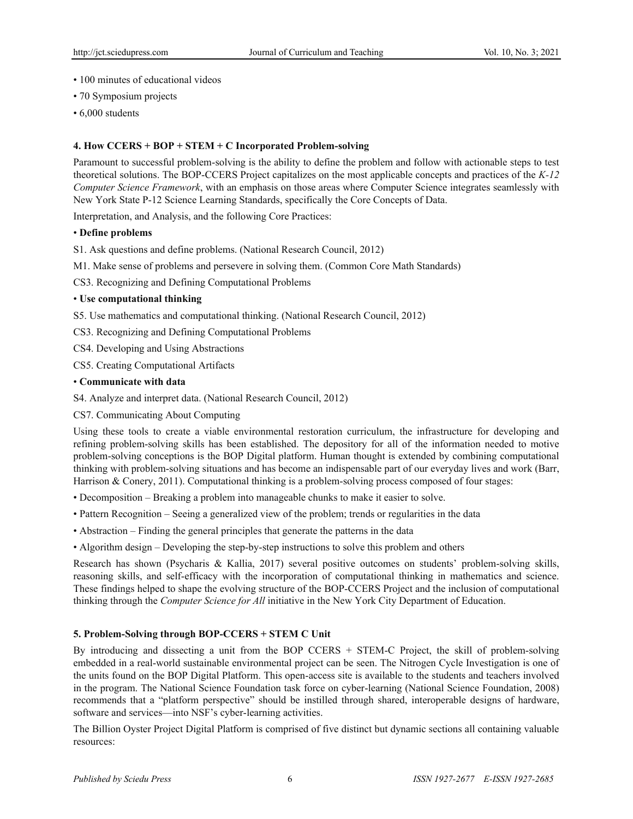- 100 minutes of educational videos
- 70 Symposium projects
- 6,000 students

## **4. How CCERS + BOP + STEM + C Incorporated Problem-solving**

Paramount to successful problem-solving is the ability to define the problem and follow with actionable steps to test theoretical solutions. The BOP-CCERS Project capitalizes on the most applicable concepts and practices of the *K-12 Computer Science Framework*, with an emphasis on those areas where Computer Science integrates seamlessly with New York State P-12 Science Learning Standards, specifically the Core Concepts of Data.

Interpretation, and Analysis, and the following Core Practices:

## • **Define problems**

S1. Ask questions and define problems. (National Research Council, 2012)

- M1. Make sense of problems and persevere in solving them. (Common Core Math Standards)
- CS3. Recognizing and Defining Computational Problems

#### • **Use computational thinking**

- S5. Use mathematics and computational thinking. (National Research Council, 2012)
- CS3. Recognizing and Defining Computational Problems
- CS4. Developing and Using Abstractions

CS5. Creating Computational Artifacts

#### • **Communicate with data**

S4. Analyze and interpret data. (National Research Council, 2012)

### CS7. Communicating About Computing

Using these tools to create a viable environmental restoration curriculum, the infrastructure for developing and refining problem-solving skills has been established. The depository for all of the information needed to motive problem-solving conceptions is the BOP Digital platform. Human thought is extended by combining computational thinking with problem-solving situations and has become an indispensable part of our everyday lives and work (Barr, Harrison & Conery, 2011). Computational thinking is a problem-solving process composed of four stages:

- Decomposition Breaking a problem into manageable chunks to make it easier to solve.
- Pattern Recognition Seeing a generalized view of the problem; trends or regularities in the data
- Abstraction Finding the general principles that generate the patterns in the data
- Algorithm design Developing the step-by-step instructions to solve this problem and others

Research has shown (Psycharis & Kallia, 2017) several positive outcomes on students' problem-solving skills, reasoning skills, and self-efficacy with the incorporation of computational thinking in mathematics and science. These findings helped to shape the evolving structure of the BOP-CCERS Project and the inclusion of computational thinking through the *Computer Science for All* initiative in the New York City Department of Education.

## **5. Problem-Solving through BOP-CCERS + STEM C Unit**

By introducing and dissecting a unit from the BOP CCERS + STEM-C Project, the skill of problem-solving embedded in a real-world sustainable environmental project can be seen. The Nitrogen Cycle Investigation is one of the units found on the BOP Digital Platform. This open-access site is available to the students and teachers involved in the program. The National Science Foundation task force on cyber-learning (National Science Foundation, 2008) recommends that a "platform perspective" should be instilled through shared, interoperable designs of hardware, software and services—into NSF's cyber-learning activities.

The Billion Oyster Project Digital Platform is comprised of five distinct but dynamic sections all containing valuable resources: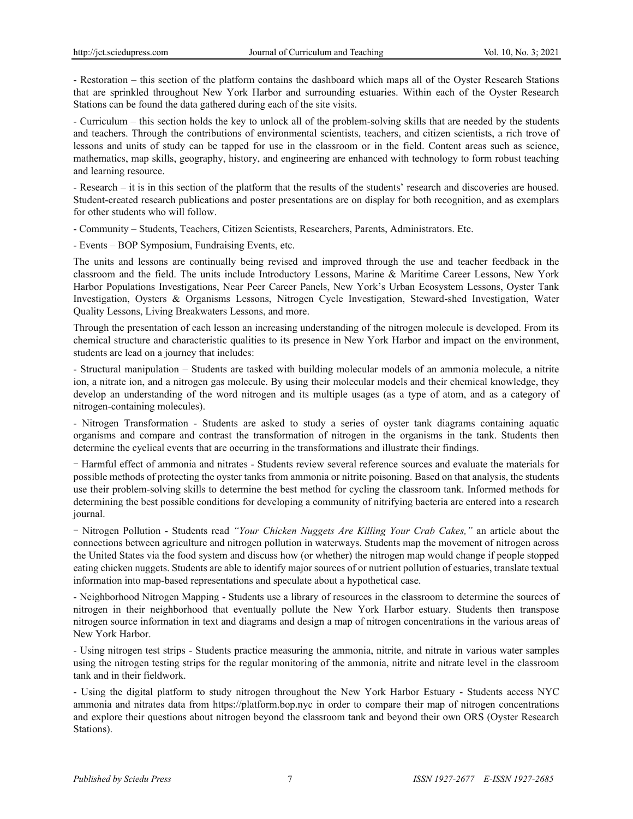- Restoration – this section of the platform contains the dashboard which maps all of the Oyster Research Stations that are sprinkled throughout New York Harbor and surrounding estuaries. Within each of the Oyster Research Stations can be found the data gathered during each of the site visits.

- Curriculum – this section holds the key to unlock all of the problem-solving skills that are needed by the students and teachers. Through the contributions of environmental scientists, teachers, and citizen scientists, a rich trove of lessons and units of study can be tapped for use in the classroom or in the field. Content areas such as science, mathematics, map skills, geography, history, and engineering are enhanced with technology to form robust teaching and learning resource.

- Research – it is in this section of the platform that the results of the students' research and discoveries are housed. Student-created research publications and poster presentations are on display for both recognition, and as exemplars for other students who will follow.

- Community – Students, Teachers, Citizen Scientists, Researchers, Parents, Administrators. Etc.

- Events – BOP Symposium, Fundraising Events, etc.

The units and lessons are continually being revised and improved through the use and teacher feedback in the classroom and the field. The units include Introductory Lessons, Marine & Maritime Career Lessons, New York Harbor Populations Investigations, Near Peer Career Panels, New York's Urban Ecosystem Lessons, Oyster Tank Investigation, Oysters & Organisms Lessons, Nitrogen Cycle Investigation, Steward-shed Investigation, Water Quality Lessons, Living Breakwaters Lessons, and more.

Through the presentation of each lesson an increasing understanding of the nitrogen molecule is developed. From its chemical structure and characteristic qualities to its presence in New York Harbor and impact on the environment, students are lead on a journey that includes:

- Structural manipulation – Students are tasked with building molecular models of an ammonia molecule, a nitrite ion, a nitrate ion, and a nitrogen gas molecule. By using their molecular models and their chemical knowledge, they develop an understanding of the word nitrogen and its multiple usages (as a type of atom, and as a category of nitrogen-containing molecules).

- Nitrogen Transformation - Students are asked to study a series of oyster tank diagrams containing aquatic organisms and compare and contrast the transformation of nitrogen in the organisms in the tank. Students then determine the cyclical events that are occurring in the transformations and illustrate their findings.

- Harmful effect of ammonia and nitrates - Students review several reference sources and evaluate the materials for possible methods of protecting the oyster tanks from ammonia or nitrite poisoning. Based on that analysis, the students use their problem-solving skills to determine the best method for cycling the classroom tank. Informed methods for determining the best possible conditions for developing a community of nitrifying bacteria are entered into a research journal.

- Nitrogen Pollution - Students read *"[Your Chicken Nuggets Are Killing Your Crab Cakes](https://drive.google.com/open?id=1VVybt4kyncRXfhuzaX9j0xC5b9Aoi13J),"* an article about the connections between agriculture and nitrogen pollution in waterways. Students map the movement of nitrogen across the United States via the food system and discuss how (or whether) the nitrogen map would change if people stopped eating chicken nuggets. Students are able to identify major sources of or nutrient pollution of estuaries, translate textual information into map-based representations and speculate about a hypothetical case.

- Neighborhood Nitrogen Mapping - Students use a library of resources in the classroom to determine the sources of nitrogen in their neighborhood that eventually pollute the New York Harbor estuary. Students then transpose nitrogen source information in text and diagrams and design a map of nitrogen concentrations in the various areas of New York Harbor.

- Using nitrogen test strips - Students practice measuring the ammonia, nitrite, and nitrate in various water samples using the nitrogen testing strips for the regular monitoring of the ammonia, nitrite and nitrate level in the classroom tank and in their fieldwork.

- Using the digital platform to study nitrogen throughout the New York Harbor Estuary - Students access NYC ammonia and nitrates data from https://platform.bop.nyc in order to compare their map of nitrogen concentrations and explore their questions about nitrogen beyond the classroom tank and beyond their own ORS (Oyster Research Stations).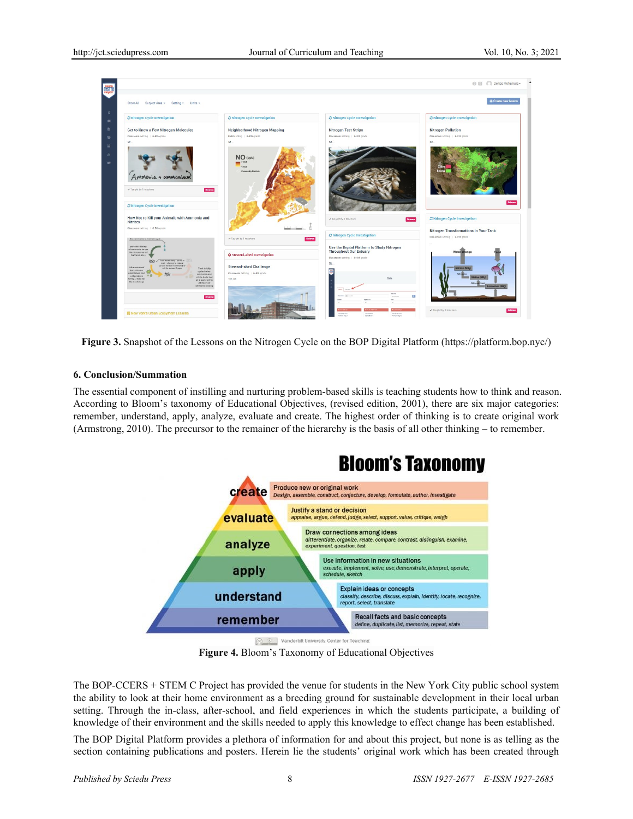

**Figure 3.** Snapshot of the Lessons on the Nitrogen Cycle on the BOP Digital Platform [\(https://platform.bop.nyc/\)](https://platform.bop.nyc/)

## **6. Conclusion/Summation**

The essential component of instilling and nurturing problem-based skills is teaching students how to think and reason. According to Bloom's taxonomy of Educational Objectives, (revised edition, 2001), there are six major categories: remember, understand, apply, analyze, evaluate and create. The highest order of thinking is to create original work (Armstrong, 2010). The precursor to the remainer of the hierarchy is the basis of all other thinking – to remember.



**Figure 4.** Bloom's Taxonomy of Educational Objectives

The BOP-CCERS + STEM C Project has provided the venue for students in the New York City public school system the ability to look at their home environment as a breeding ground for sustainable development in their local urban setting. Through the in-class, after-school, and field experiences in which the students participate, a building of knowledge of their environment and the skills needed to apply this knowledge to effect change has been established.

The BOP Digital Platform provides a plethora of information for and about this project, but none is as telling as the section containing publications and posters. Herein lie the students' original work which has been created through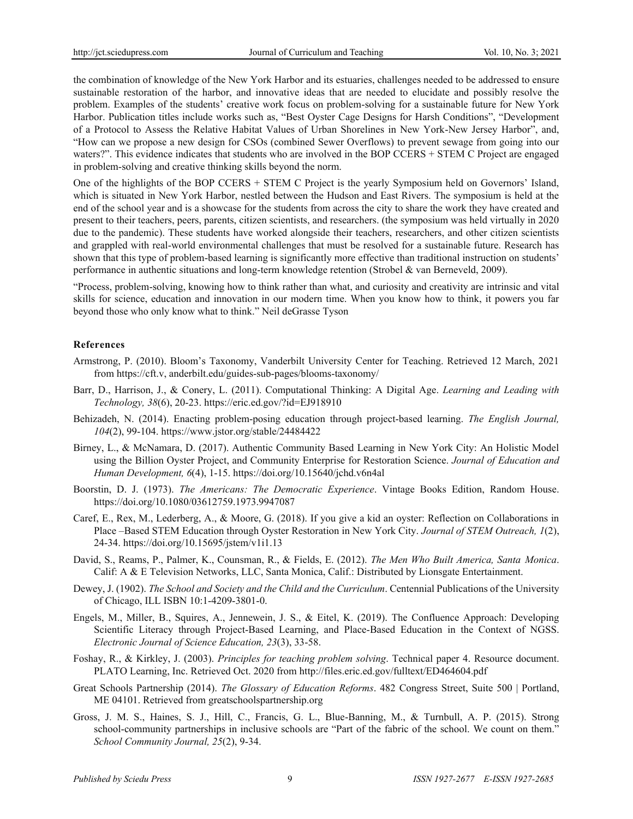the combination of knowledge of the New York Harbor and its estuaries, challenges needed to be addressed to ensure sustainable restoration of the harbor, and innovative ideas that are needed to elucidate and possibly resolve the problem. Examples of the students' creative work focus on problem-solving for a sustainable future for New York Harbor. Publication titles include works such as, "Best Oyster Cage Designs for Harsh Conditions", "Development of a Protocol to Assess the Relative Habitat Values of Urban Shorelines in New York-New Jersey Harbor", and, "How can we propose a new design for CSOs (combined Sewer Overflows) to prevent sewage from going into our waters?". This evidence indicates that students who are involved in the BOP CCERS + STEM C Project are engaged in problem-solving and creative thinking skills beyond the norm.

One of the highlights of the BOP CCERS + STEM C Project is the yearly Symposium held on Governors' Island, which is situated in New York Harbor, nestled between the Hudson and East Rivers. The symposium is held at the end of the school year and is a showcase for the students from across the city to share the work they have created and present to their teachers, peers, parents, citizen scientists, and researchers. (the symposium was held virtually in 2020 due to the pandemic). These students have worked alongside their teachers, researchers, and other citizen scientists and grappled with real-world environmental challenges that must be resolved for a sustainable future. Research has shown that this type of problem-based learning is significantly more effective than traditional instruction on students' performance in authentic situations and long-term knowledge retention (Strobel & van Berneveld, 2009).

"Process, problem-solving, knowing how to think rather than what, and curiosity and creativity are intrinsic and vital skills for science, education and innovation in our modern time. When you know how to think, it powers you far beyond those who only know what to think." Neil deGrasse Tyson

#### **References**

- Armstrong, P. (2010). Bloom's Taxonomy, Vanderbilt University Center for Teaching. Retrieved 12 March, 2021 from [https://cft.v, anderbilt.edu/guides-sub-pages/blooms-taxonomy/](https://cft.vanderbilt.edu/guides-sub-pages/blooms-taxonomy/)
- Barr, D., Harrison, J., & Conery, L. (2011). Computational Thinking: A Digital Age. *Learning and Leading with Technology, 38*(6), 20-23. <https://eric.ed.gov/?id=EJ918910>
- Behizadeh, N. (2014). Enacting problem-posing education through project-based learning. *The English Journal, 104*(2), 99-104.<https://www.jstor.org/stable/24484422>
- Birney, L., & McNamara, D. (2017). Authentic Community Based Learning in New York City: An Holistic Model using the Billion Oyster Project, and Community Enterprise for Restoration Science. *Journal of Education and Human Development, 6*(4), 1-15. https://doi.org/10.15640/jchd.v6n4al
- Boorstin, D. J. (1973). *The Americans: The Democratic Experience*. Vintage Books Edition, Random House. https://doi.org/10.1080/03612759.1973.9947087
- Caref, E., Rex, M., Lederberg, A., & Moore, G. (2018). If you give a kid an oyster: Reflection on Collaborations in Place –Based STEM Education through Oyster Restoration in New York City. *Journal of STEM Outreach, 1*(2), 24-34.<https://doi.org/10.15695/jstem/v1i1.13>
- David, S., Reams, P., Palmer, K., Counsman, R., & Fields, E. (2012). *The Men Who Built America, Santa Monica*. Calif: A & E Television Networks, LLC, Santa Monica, Calif.: Distributed by Lionsgate Entertainment.
- Dewey, J. (1902). *The School and Society and the Child and the Curriculum*. Centennial Publications of the University of Chicago, ILL ISBN 10:1-4209-3801-0.
- Engels, M., Miller, B., Squires, A., Jennewein, J. S., & Eitel, K. (2019). The Confluence Approach: Developing Scientific Literacy through Project-Based Learning, and Place-Based Education in the Context of NGSS. *Electronic Journal of Science Education, 23*(3), 33-58.
- Foshay, R., & Kirkley, J. (2003). *Principles for teaching problem solving*. Technical paper 4. Resource document. PLATO Learning, Inc. Retrieved Oct. 2020 from http://files.eric.ed.gov/fulltext/ED464604.pdf
- Great Schools Partnership (2014). *The Glossary of Education Reforms*. 482 Congress Street, Suite 500 | Portland, ME 04101. Retrieved from [greatschoolspartnership.org](http://www.greatschoolspartnership.org/)
- Gross, J. M. S., Haines, S. J., Hill, C., Francis, G. L., Blue-Banning, M., & Turnbull, A. P. (2015). Strong school-community partnerships in inclusive schools are "Part of the fabric of the school. We count on them." *School Community Journal, 25*(2), 9-34.